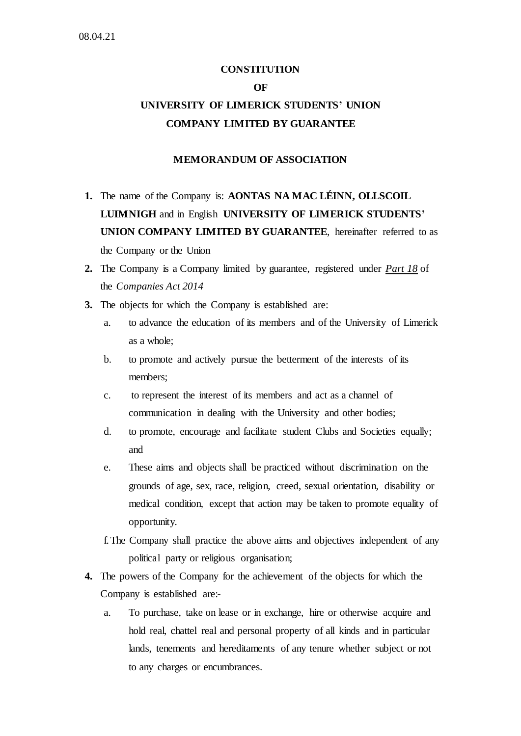# **CONSTITUTION OF UNIVERSITY OF LIMERICK STUDENTS' UNION COMPANY LIMITED BY GUARANTEE**

# **MEMORANDUM OF ASSOCIATION**

- **1.** The name of the Company is: **AONTAS NA MAC LÉINN, OLLSCOIL LUIMNIGH** and in English **UNIVERSITY OF LIMERICK STUDENTS' UNION COMPANY LIMITED BY GUARANTEE**, hereinafter referred to as the Company or the Union
- **2.** The Company is a Company limited by guarantee, registered under *[Part 18](http://www.irishstatutebook.ie/2014/en/act/pub/0038/print.html#part18)* of the *Companies Act 2014*
- **3.** The objects for which the Company is established are:
	- a. to advance the education of its members and of the University of Limerick as a whole;
	- b. to promote and actively pursue the betterment of the interests of its members;
	- c. to represent the interest of its members and act as a channel of communication in dealing with the University and other bodies;
	- d. to promote, encourage and facilitate student Clubs and Societies equally; and
	- e. These aims and objects shall be practiced without discrimination on the grounds of age, sex, race, religion, creed, sexual orientation, disability or medical condition, except that action may be taken to promote equality of opportunity.
	- f.The Company shall practice the above aims and objectives independent of any political party or religious organisation;
- **4.** The powers of the Company for the achievement of the objects for which the Company is established are:
	- a. To purchase, take on lease or in exchange, hire or otherwise acquire and hold real, chattel real and personal property of all kinds and in particular lands, tenements and hereditaments of any tenure whether subject or not to any charges or encumbrances.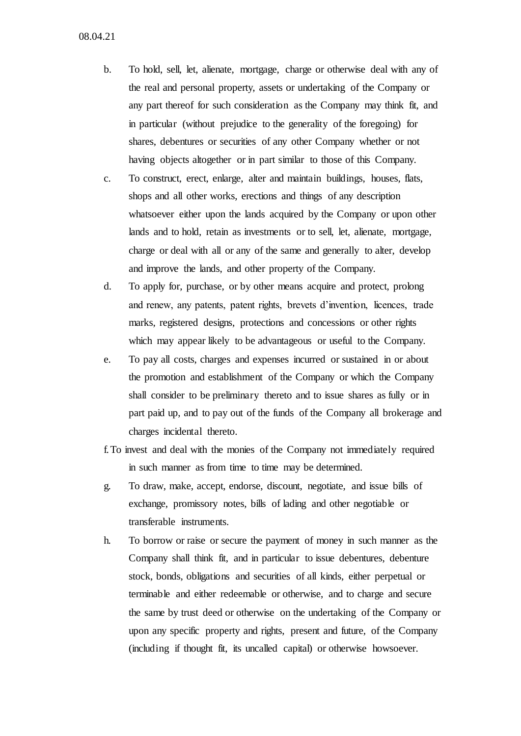08.04.21

- b. To hold, sell, let, alienate, mortgage, charge or otherwise deal with any of the real and personal property, assets or undertaking of the Company or any part thereof for such consideration as the Company may think fit, and in particular (without prejudice to the generality of the foregoing) for shares, debentures or securities of any other Company whether or not having objects altogether or in part similar to those of this Company.
- c. To construct, erect, enlarge, alter and maintain buildings, houses, flats, shops and all other works, erections and things of any description whatsoever either upon the lands acquired by the Company or upon other lands and to hold, retain as investments or to sell, let, alienate, mortgage, charge or deal with all or any of the same and generally to alter, develop and improve the lands, and other property of the Company.
- d. To apply for, purchase, or by other means acquire and protect, prolong and renew, any patents, patent rights, brevets d'invention, licences, trade marks, registered designs, protections and concessions or other rights which may appear likely to be advantageous or useful to the Company.
- e. To pay all costs, charges and expenses incurred or sustained in or about the promotion and establishment of the Company or which the Company shall consider to be preliminary thereto and to issue shares as fully or in part paid up, and to pay out of the funds of the Company all brokerage and charges incidental thereto.
- f.To invest and deal with the monies of the Company not immediately required in such manner as from time to time may be determined.
- g. To draw, make, accept, endorse, discount, negotiate, and issue bills of exchange, promissory notes, bills of lading and other negotiable or transferable instruments.
- h. To borrow or raise or secure the payment of money in such manner as the Company shall think fit, and in particular to issue debentures, debenture stock, bonds, obligations and securities of all kinds, either perpetual or terminable and either redeemable or otherwise, and to charge and secure the same by trust deed or otherwise on the undertaking of the Company or upon any specific property and rights, present and future, of the Company (including if thought fit, its uncalled capital) or otherwise howsoever.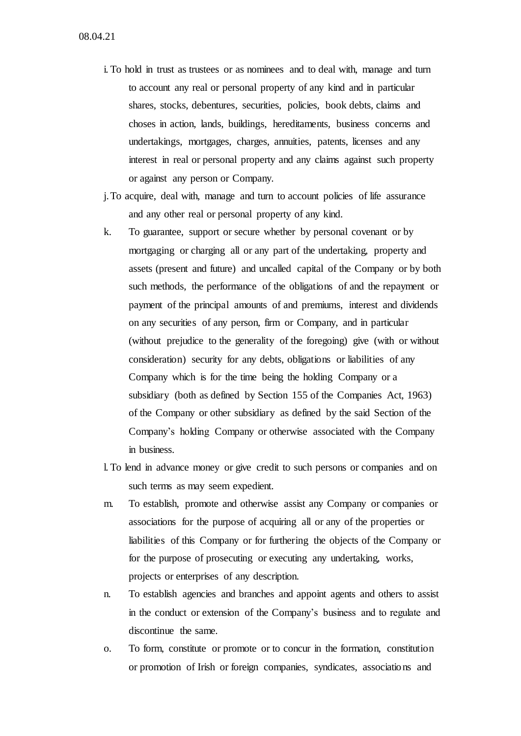- i. To hold in trust as trustees or as nominees and to deal with, manage and turn to account any real or personal property of any kind and in particular shares, stocks, debentures, securities, policies, book debts, claims and choses in action, lands, buildings, hereditaments, business concerns and undertakings, mortgages, charges, annuities, patents, licenses and any interest in real or personal property and any claims against such property or against any person or Company.
- j.To acquire, deal with, manage and turn to account policies of life assurance and any other real or personal property of any kind.
- k. To guarantee, support or secure whether by personal covenant or by mortgaging or charging all or any part of the undertaking, property and assets (present and future) and uncalled capital of the Company or by both such methods, the performance of the obligations of and the repayment or payment of the principal amounts of and premiums, interest and dividends on any securities of any person, firm or Company, and in particular (without prejudice to the generality of the foregoing) give (with or without consideration) security for any debts, obligations or liabilities of any Company which is for the time being the holding Company or a subsidiary (both as defined by Section 155 of the Companies Act, 1963) of the Company or other subsidiary as defined by the said Section of the Company's holding Company or otherwise associated with the Company in business.
- l. To lend in advance money or give credit to such persons or companies and on such terms as may seem expedient.
- m. To establish, promote and otherwise assist any Company or companies or associations for the purpose of acquiring all or any of the properties or liabilities of this Company or for furthering the objects of the Company or for the purpose of prosecuting or executing any undertaking, works, projects or enterprises of any description.
- n. To establish agencies and branches and appoint agents and others to assist in the conduct or extension of the Company's business and to regulate and discontinue the same.
- o. To form, constitute or promote or to concur in the formation, constitution or promotion of Irish or foreign companies, syndicates, associations and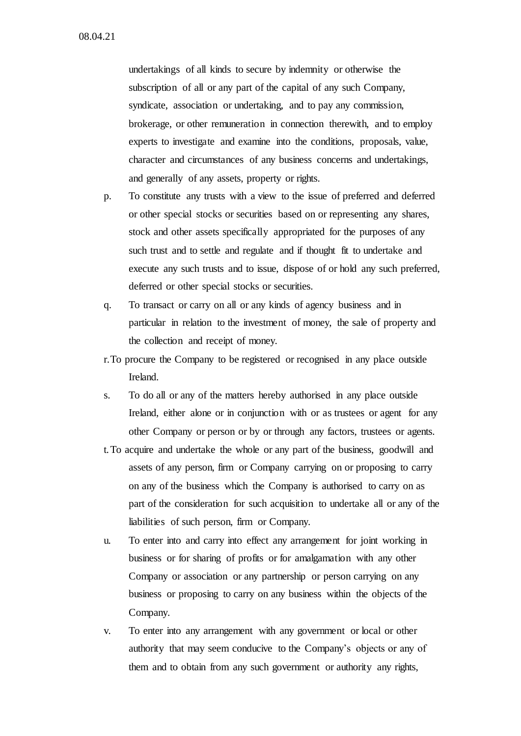undertakings of all kinds to secure by indemnity or otherwise the subscription of all or any part of the capital of any such Company, syndicate, association or undertaking, and to pay any commission, brokerage, or other remuneration in connection therewith, and to employ experts to investigate and examine into the conditions, proposals, value, character and circumstances of any business concerns and undertakings, and generally of any assets, property or rights.

- p. To constitute any trusts with a view to the issue of preferred and deferred or other special stocks or securities based on or representing any shares, stock and other assets specifically appropriated for the purposes of any such trust and to settle and regulate and if thought fit to undertake and execute any such trusts and to issue, dispose of or hold any such preferred, deferred or other special stocks or securities.
- q. To transact or carry on all or any kinds of agency business and in particular in relation to the investment of money, the sale of property and the collection and receipt of money.
- r.To procure the Company to be registered or recognised in any place outside Ireland.
- s. To do all or any of the matters hereby authorised in any place outside Ireland, either alone or in conjunction with or as trustees or agent for any other Company or person or by or through any factors, trustees or agents.
- t.To acquire and undertake the whole or any part of the business, goodwill and assets of any person, firm or Company carrying on or proposing to carry on any of the business which the Company is authorised to carry on as part of the consideration for such acquisition to undertake all or any of the liabilities of such person, firm or Company.
- u. To enter into and carry into effect any arrangement for joint working in business or for sharing of profits or for amalgamation with any other Company or association or any partnership or person carrying on any business or proposing to carry on any business within the objects of the Company.
- v. To enter into any arrangement with any government or local or other authority that may seem conducive to the Company's objects or any of them and to obtain from any such government or authority any rights,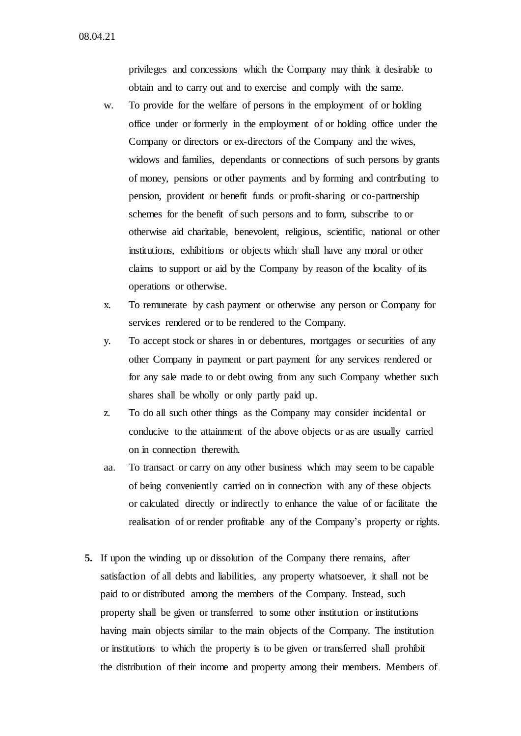08.04.21

privileges and concessions which the Company may think it desirable to obtain and to carry out and to exercise and comply with the same.

- w. To provide for the welfare of persons in the employment of or holding office under or formerly in the employment of or holding office under the Company or directors or ex-directors of the Company and the wives, widows and families, dependants or connections of such persons by grants of money, pensions or other payments and by forming and contributing to pension, provident or benefit funds or profit-sharing or co-partnership schemes for the benefit of such persons and to form, subscribe to or otherwise aid charitable, benevolent, religious, scientific, national or other institutions, exhibitions or objects which shall have any moral or other claims to support or aid by the Company by reason of the locality of its operations or otherwise.
- x. To remunerate by cash payment or otherwise any person or Company for services rendered or to be rendered to the Company.
- y. To accept stock or shares in or debentures, mortgages or securities of any other Company in payment or part payment for any services rendered or for any sale made to or debt owing from any such Company whether such shares shall be wholly or only partly paid up.
- z. To do all such other things as the Company may consider incidental or conducive to the attainment of the above objects or as are usually carried on in connection therewith.
- aa. To transact or carry on any other business which may seem to be capable of being conveniently carried on in connection with any of these objects or calculated directly or indirectly to enhance the value of or facilitate the realisation of or render profitable any of the Company's property or rights.
- **5.** If upon the winding up or dissolution of the Company there remains, after satisfaction of all debts and liabilities, any property whatsoever, it shall not be paid to or distributed among the members of the Company. Instead, such property shall be given or transferred to some other institution or institutions having main objects similar to the main objects of the Company. The institution or institutions to which the property is to be given or transferred shall prohibit the distribution of their income and property among their members. Members of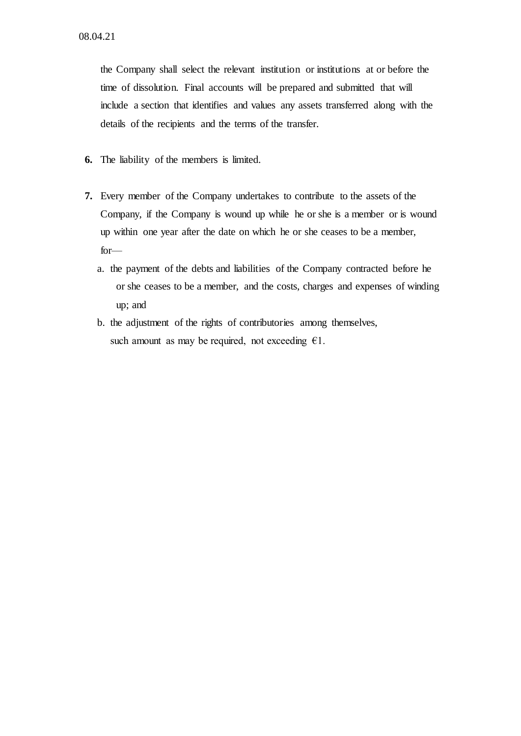the Company shall select the relevant institution or institutions at or before the time of dissolution. Final accounts will be prepared and submitted that will include a section that identifies and values any assets transferred along with the details of the recipients and the terms of the transfer.

- **6.** The liability of the members is limited.
- **7.** Every member of the Company undertakes to contribute to the assets of the Company, if the Company is wound up while he or she is a member or is wound up within one year after the date on which he or she ceases to be a member, for
	- a. the payment of the debts and liabilities of the Company contracted before he or she ceases to be a member, and the costs, charges and expenses of winding up; and
	- b. the adjustment of the rights of contributories among themselves, such amount as may be required, not exceeding  $\epsilon$ 1.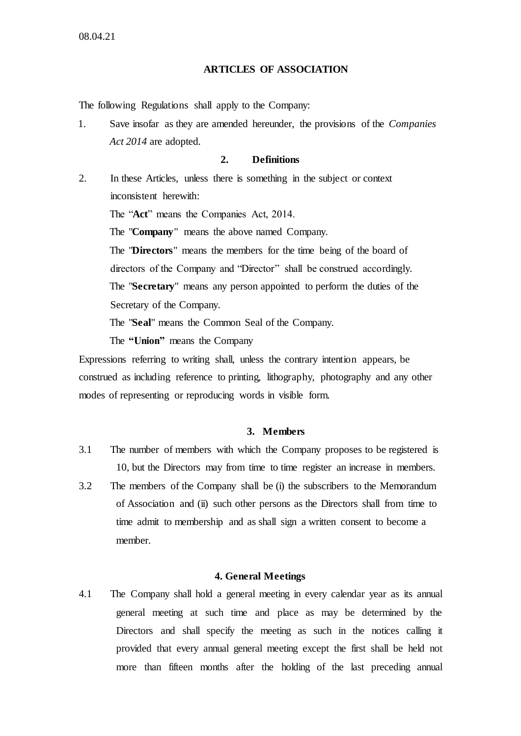# **ARTICLES OF ASSOCIATION**

The following Regulations shall apply to the Company:

1. Save insofar as they are amended hereunder, the provisions of the *Companies Act 2014* are adopted.

### **2. Definitions**

2. In these Articles, unless there is something in the subject or context inconsistent herewith:

The "**Act**" means the Companies Act, 2014.

The "**Company**" means the above named Company.

The "**Directors**" means the members for the time being of the board of directors of the Company and "Director" shall be construed accordingly. The "**Secretary**" means any person appointed to perform the duties of the Secretary of the Company.

The "**Seal**" means the Common Seal of the Company.

The **"Union"** means the Company

Expressions referring to writing shall, unless the contrary intention appears, be construed as including reference to printing, lithography, photography and any other modes of representing or reproducing words in visible form.

### **3. Members**

- 3.1 The number of members with which the Company proposes to be registered is 10, but the Directors may from time to time register an increase in members.
- 3.2 The members of the Company shall be (i) the subscribers to the Memorandum of Association and (ii) such other persons as the Directors shall from time to time admit to membership and as shall sign a written consent to become a member.

### **4. General Meetings**

4.1 The Company shall hold a general meeting in every calendar year as its annual general meeting at such time and place as may be determined by the Directors and shall specify the meeting as such in the notices calling it provided that every annual general meeting except the first shall be held not more than fifteen months after the holding of the last preceding annual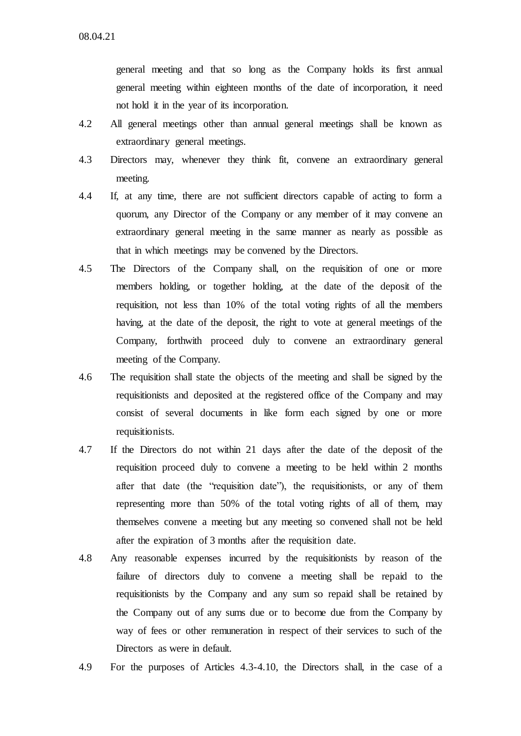general meeting and that so long as the Company holds its first annual general meeting within eighteen months of the date of incorporation, it need not hold it in the year of its incorporation.

- 4.2 All general meetings other than annual general meetings shall be known as extraordinary general meetings.
- 4.3 Directors may, whenever they think fit, convene an extraordinary general meeting.
- 4.4 If, at any time, there are not sufficient directors capable of acting to form a quorum, any Director of the Company or any member of it may convene an extraordinary general meeting in the same manner as nearly as possible as that in which meetings may be convened by the Directors.
- 4.5 The Directors of the Company shall, on the requisition of one or more members holding, or together holding, at the date of the deposit of the requisition, not less than 10% of the total voting rights of all the members having, at the date of the deposit, the right to vote at general meetings of the Company, forthwith proceed duly to convene an extraordinary general meeting of the Company.
- 4.6 The requisition shall state the objects of the meeting and shall be signed by the requisitionists and deposited at the registered office of the Company and may consist of several documents in like form each signed by one or more requisitionists.
- 4.7 If the Directors do not within 21 days after the date of the deposit of the requisition proceed duly to convene a meeting to be held within 2 months after that date (the "requisition date"), the requisitionists, or any of them representing more than 50% of the total voting rights of all of them, may themselves convene a meeting but any meeting so convened shall not be held after the expiration of 3 months after the requisition date.
- 4.8 Any reasonable expenses incurred by the requisitionists by reason of the failure of directors duly to convene a meeting shall be repaid to the requisitionists by the Company and any sum so repaid shall be retained by the Company out of any sums due or to become due from the Company by way of fees or other remuneration in respect of their services to such of the Directors as were in default.
- 4.9 For the purposes of Articles 4.3-4.10, the Directors shall, in the case of a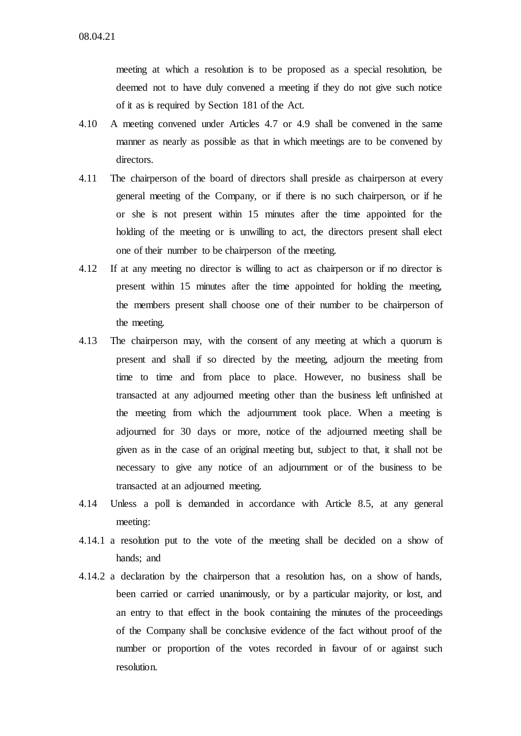meeting at which a resolution is to be proposed as a special resolution, be deemed not to have duly convened a meeting if they do not give such notice of it as is required by Section 181 of the Act.

- 4.10 A meeting convened under Articles 4.7 or 4.9 shall be convened in the same manner as nearly as possible as that in which meetings are to be convened by directors.
- 4.11 The chairperson of the board of directors shall preside as chairperson at every general meeting of the Company, or if there is no such chairperson, or if he or she is not present within 15 minutes after the time appointed for the holding of the meeting or is unwilling to act, the directors present shall elect one of their number to be chairperson of the meeting.
- 4.12 If at any meeting no director is willing to act as chairperson or if no director is present within 15 minutes after the time appointed for holding the meeting, the members present shall choose one of their number to be chairperson of the meeting.
- 4.13 The chairperson may, with the consent of any meeting at which a quorum is present and shall if so directed by the meeting, adjourn the meeting from time to time and from place to place. However, no business shall be transacted at any adjourned meeting other than the business left unfinished at the meeting from which the adjournment took place. When a meeting is adjourned for 30 days or more, notice of the adjourned meeting shall be given as in the case of an original meeting but, subject to that, it shall not be necessary to give any notice of an adjournment or of the business to be transacted at an adjourned meeting.
- 4.14 Unless a poll is demanded in accordance with Article 8.5, at any general meeting:
- 4.14.1 a resolution put to the vote of the meeting shall be decided on a show of hands; and
- 4.14.2 a declaration by the chairperson that a resolution has, on a show of hands, been carried or carried unanimously, or by a particular majority, or lost, and an entry to that effect in the book containing the minutes of the proceedings of the Company shall be conclusive evidence of the fact without proof of the number or proportion of the votes recorded in favour of or against such resolution.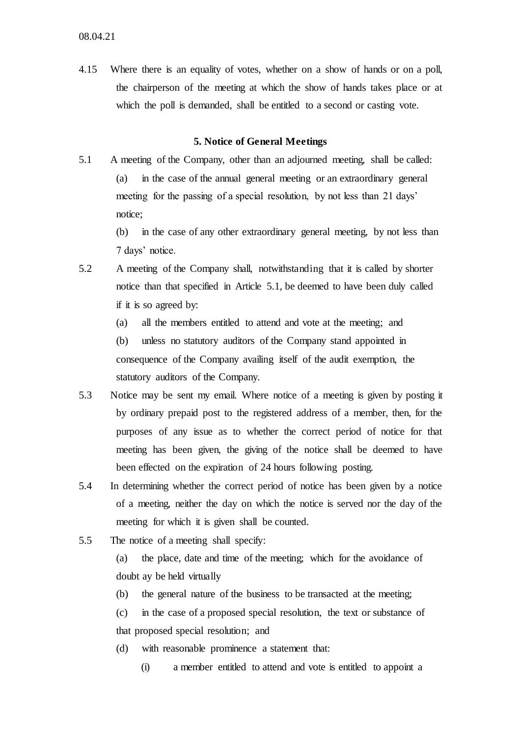4.15 Where there is an equality of votes, whether on a show of hands or on a poll, the chairperson of the meeting at which the show of hands takes place or at which the poll is demanded, shall be entitled to a second or casting vote.

### **5. Notice of General Meetings**

- 5.1 A meeting of the Company, other than an adjourned meeting, shall be called: (a) in the case of the annual general meeting or an extraordinary general meeting for the passing of a special resolution, by not less than 21 days' notice;
	- (b) in the case of any other extraordinary general meeting, by not less than 7 days' notice.
- 5.2 A meeting of the Company shall, notwithstanding that it is called by shorter notice than that specified in Article 5.1, be deemed to have been duly called if it is so agreed by:
	- (a) all the members entitled to attend and vote at the meeting; and

(b) unless no statutory auditors of the Company stand appointed in consequence of the Company availing itself of the audit exemption, the statutory auditors of the Company.

- 5.3 Notice may be sent my email. Where notice of a meeting is given by posting it by ordinary prepaid post to the registered address of a member, then, for the purposes of any issue as to whether the correct period of notice for that meeting has been given, the giving of the notice shall be deemed to have been effected on the expiration of 24 hours following posting.
- 5.4 In determining whether the correct period of notice has been given by a notice of a meeting, neither the day on which the notice is served nor the day of the meeting for which it is given shall be counted.
- 5.5 The notice of a meeting shall specify:

(a) the place, date and time of the meeting; which for the avoidance of doubt ay be held virtually

(b) the general nature of the business to be transacted at the meeting;

(c) in the case of a proposed special resolution, the text or substance of that proposed special resolution; and

- (d) with reasonable prominence a statement that:
	- (i) a member entitled to attend and vote is entitled to appoint a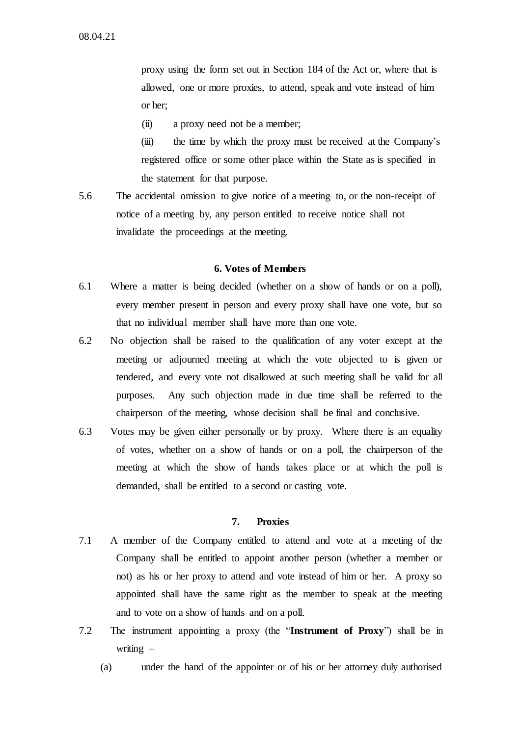proxy using the form set out in Section 184 of the Act or, where that is allowed, one or more proxies, to attend, speak and vote instead of him or her;

(ii) a proxy need not be a member;

(iii) the time by which the proxy must be received at the Company's registered office or some other place within the State as is specified in the statement for that purpose.

5.6 The accidental omission to give notice of a meeting to, or the non-receipt of notice of a meeting by, any person entitled to receive notice shall not invalidate the proceedings at the meeting.

### **6. Votes of Members**

- 6.1 Where a matter is being decided (whether on a show of hands or on a poll), every member present in person and every proxy shall have one vote, but so that no individual member shall have more than one vote.
- 6.2 No objection shall be raised to the qualification of any voter except at the meeting or adjourned meeting at which the vote objected to is given or tendered, and every vote not disallowed at such meeting shall be valid for all purposes. Any such objection made in due time shall be referred to the chairperson of the meeting, whose decision shall be final and conclusive.
- 6.3 Votes may be given either personally or by proxy. Where there is an equality of votes, whether on a show of hands or on a poll, the chairperson of the meeting at which the show of hands takes place or at which the poll is demanded, shall be entitled to a second or casting vote.

### **7. Proxies**

- 7.1 A member of the Company entitled to attend and vote at a meeting of the Company shall be entitled to appoint another person (whether a member or not) as his or her proxy to attend and vote instead of him or her. A proxy so appointed shall have the same right as the member to speak at the meeting and to vote on a show of hands and on a poll.
- 7.2 The instrument appointing a proxy (the "**Instrument of Proxy**") shall be in writing  $-$ 
	- (a) under the hand of the appointer or of his or her attorney duly authorised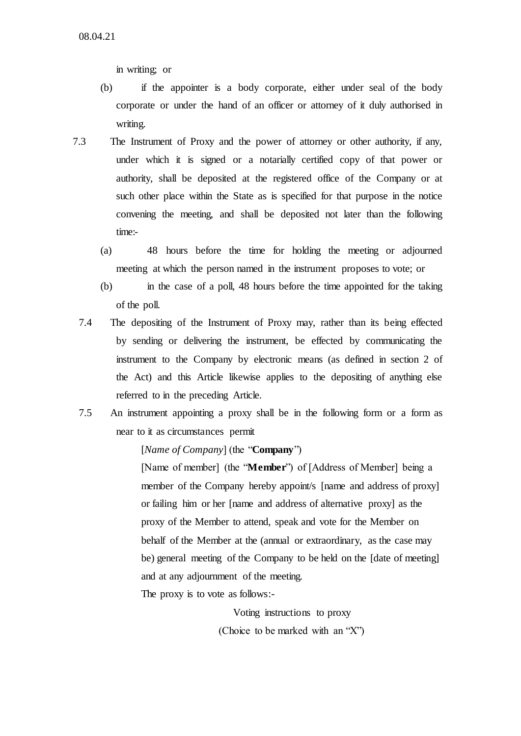in writing; or

- (b) if the appointer is a body corporate, either under seal of the body corporate or under the hand of an officer or attorney of it duly authorised in writing.
- 7.3 The Instrument of Proxy and the power of attorney or other authority, if any, under which it is signed or a notarially certified copy of that power or authority, shall be deposited at the registered office of the Company or at such other place within the State as is specified for that purpose in the notice convening the meeting, and shall be deposited not later than the following time:-
	- (a) 48 hours before the time for holding the meeting or adjourned meeting at which the person named in the instrument proposes to vote; or
	- (b) in the case of a poll, 48 hours before the time appointed for the taking of the poll.
	- 7.4 The depositing of the Instrument of Proxy may, rather than its being effected by sending or delivering the instrument, be effected by communicating the instrument to the Company by electronic means (as defined in section 2 of the Act) and this Article likewise applies to the depositing of anything else referred to in the preceding Article.
	- 7.5 An instrument appointing a proxy shall be in the following form or a form as near to it as circumstances permit

[*Name of Company*] (the "**Company**")

[Name of member] (the "**Member**") of [Address of Member] being a member of the Company hereby appoint/s [name and address of proxy] or failing him or her [name and address of alternative proxy] as the proxy of the Member to attend, speak and vote for the Member on behalf of the Member at the (annual or extraordinary, as the case may be) general meeting of the Company to be held on the [date of meeting] and at any adjournment of the meeting.

The proxy is to vote as follows:-

Voting instructions to proxy (Choice to be marked with an "X")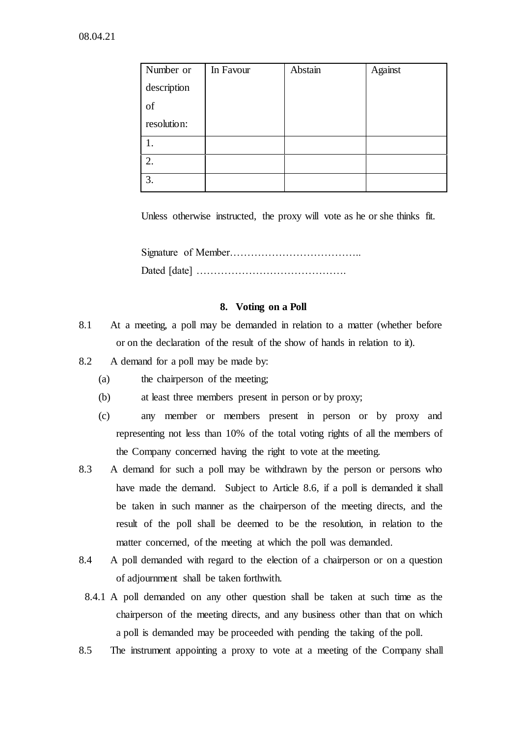| Number or   | In Favour | Abstain | Against |
|-------------|-----------|---------|---------|
| description |           |         |         |
| of          |           |         |         |
| resolution: |           |         |         |
|             |           |         |         |
| 2.          |           |         |         |
| 3.          |           |         |         |

Unless otherwise instructed, the proxy will vote as he or she thinks fit.

Signature of Member……………………………….. Dated [date] …………………………………….

# **8. Voting on a Poll**

- 8.1 At a meeting, a poll may be demanded in relation to a matter (whether before or on the declaration of the result of the show of hands in relation to it).
- 8.2 A demand for a poll may be made by:
	- (a) the chairperson of the meeting;
	- (b) at least three members present in person or by proxy;
	- (c) any member or members present in person or by proxy and representing not less than 10% of the total voting rights of all the members of the Company concerned having the right to vote at the meeting.
- 8.3 A demand for such a poll may be withdrawn by the person or persons who have made the demand. Subject to Article 8.6, if a poll is demanded it shall be taken in such manner as the chairperson of the meeting directs, and the result of the poll shall be deemed to be the resolution, in relation to the matter concerned, of the meeting at which the poll was demanded.
- 8.4 A poll demanded with regard to the election of a chairperson or on a question of adjournment shall be taken forthwith.
- 8.4.1 A poll demanded on any other question shall be taken at such time as the chairperson of the meeting directs, and any business other than that on which a poll is demanded may be proceeded with pending the taking of the poll.
- 8.5 The instrument appointing a proxy to vote at a meeting of the Company shall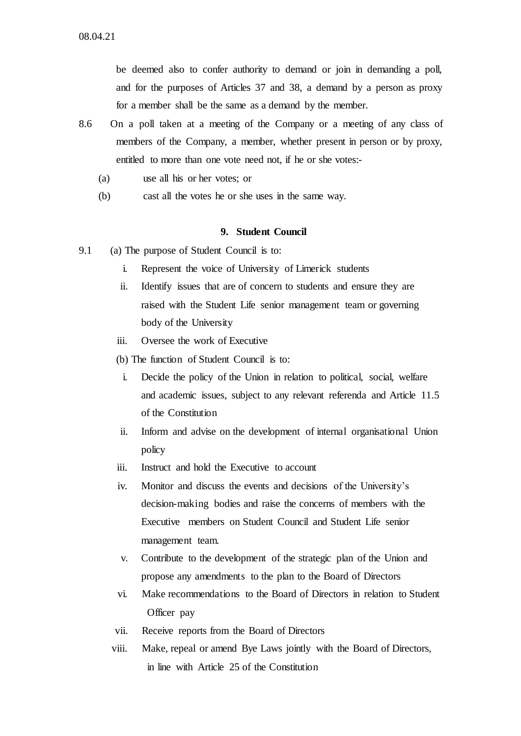be deemed also to confer authority to demand or join in demanding a poll, and for the purposes of Articles 37 and 38, a demand by a person as proxy for a member shall be the same as a demand by the member.

- 8.6 On a poll taken at a meeting of the Company or a meeting of any class of members of the Company, a member, whether present in person or by proxy, entitled to more than one vote need not, if he or she votes:-
	- (a) use all his or her votes; or
	- (b) cast all the votes he or she uses in the same way.

### **9. Student Council**

- 9.1 (a) The purpose of Student Council is to:
	- i. Represent the voice of University of Limerick students
	- ii. Identify issues that are of concern to students and ensure they are raised with the Student Life senior management team or governing body of the University
	- iii. Oversee the work of Executive
	- (b) The function of Student Council is to:
	- i. Decide the policy of the Union in relation to political, social, welfare and academic issues, subject to any relevant referenda and Article 11.5 of the Constitution
	- ii. Inform and advise on the development of internal organisational Union policy
	- iii. Instruct and hold the Executive to account
	- iv. Monitor and discuss the events and decisions of the University's decision-making bodies and raise the concerns of members with the Executive members on Student Council and Student Life senior management team.
	- v. Contribute to the development of the strategic plan of the Union and propose any amendments to the plan to the Board of Directors
	- vi. Make recommendations to the Board of Directors in relation to Student Officer pay
	- vii. Receive reports from the Board of Directors
	- viii. Make, repeal or amend Bye Laws jointly with the Board of Directors, in line with Article 25 of the Constitution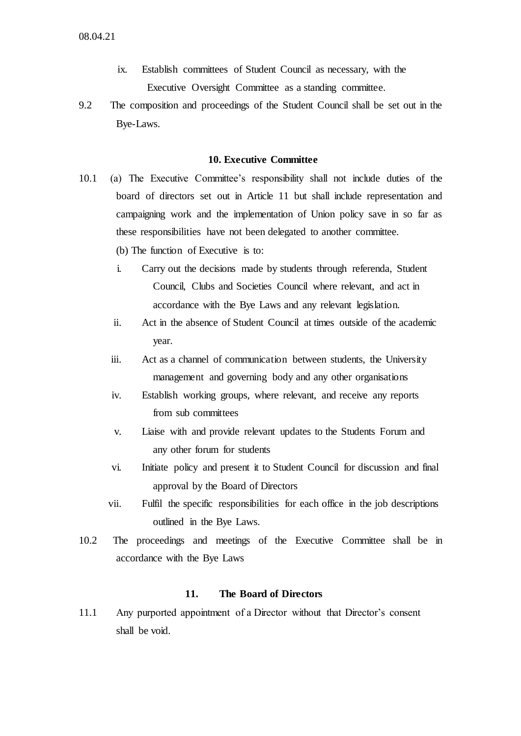- ix. Establish committees of Student Council as necessary, with the Executive Oversight Committee as a standing committee.
- 9.2 The composition and proceedings of the Student Council shall be set out in the Bye-Laws.

### **10. Executive Committee**

- 10.1 (a) The Executive Committee's responsibility shall not include duties of the board of directors set out in Article 11 but shall include representation and campaigning work and the implementation of Union policy save in so far as these responsibilities have not been delegated to another committee.
	- (b) The function of Executive is to:
	- i. Carry out the decisions made by students through referenda, Student Council, Clubs and Societies Council where relevant, and act in accordance with the Bye Laws and any relevant legislation.
	- ii. Act in the absence of Student Council at times outside of the academic year.
	- iii. Act as a channel of communication between students, the University management and governing body and any other organisations
	- iv. Establish working groups, where relevant, and receive any reports from sub committees
	- v. Liaise with and provide relevant updates to the Students Forum and any other forum for students
	- vi. Initiate policy and present it to Student Council for discussion and final approval by the Board of Directors
	- vii. Fulfil the specific responsibilities for each office in the job descriptions outlined in the Bye Laws.
- 10.2 The proceedings and meetings of the Executive Committee shall be in accordance with the Bye Laws

# **11. The Board of Directors**

11.1 Any purported appointment of a Director without that Director's consent shall be void.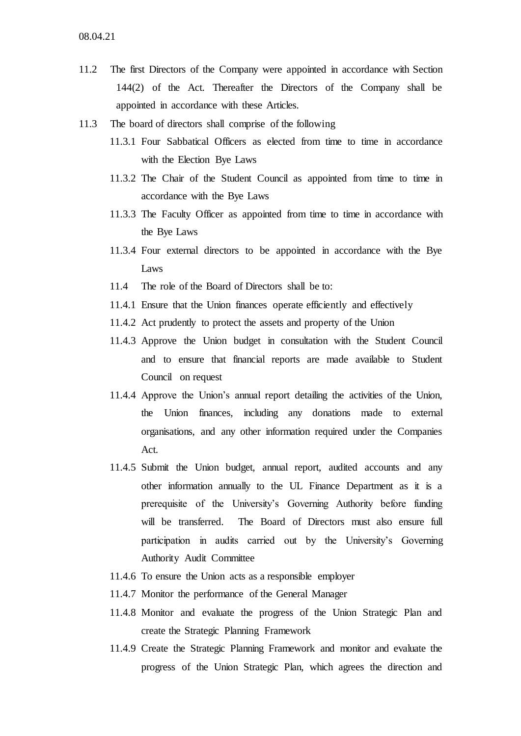- 11.2 The first Directors of the Company were appointed in accordance with Section 144(2) of the Act. Thereafter the Directors of the Company shall be appointed in accordance with these Articles.
- 11.3 The board of directors shall comprise of the following
	- 11.3.1 Four Sabbatical Officers as elected from time to time in accordance with the Election Bye Laws
	- 11.3.2 The Chair of the Student Council as appointed from time to time in accordance with the Bye Laws
	- 11.3.3 The Faculty Officer as appointed from time to time in accordance with the Bye Laws
	- 11.3.4 Four external directors to be appointed in accordance with the Bye Laws
	- 11.4 The role of the Board of Directors shall be to:
	- 11.4.1 Ensure that the Union finances operate efficiently and effectively
	- 11.4.2 Act prudently to protect the assets and property of the Union
	- 11.4.3 Approve the Union budget in consultation with the Student Council and to ensure that financial reports are made available to Student Council on request
	- 11.4.4 Approve the Union's annual report detailing the activities of the Union, the Union finances, including any donations made to external organisations, and any other information required under the Companies Act.
	- 11.4.5 Submit the Union budget, annual report, audited accounts and any other information annually to the UL Finance Department as it is a prerequisite of the University's Governing Authority before funding will be transferred. The Board of Directors must also ensure full participation in audits carried out by the University's Governing Authority Audit Committee
	- 11.4.6 To ensure the Union acts as a responsible employer
	- 11.4.7 Monitor the performance of the General Manager
	- 11.4.8 Monitor and evaluate the progress of the Union Strategic Plan and create the Strategic Planning Framework
	- 11.4.9 Create the Strategic Planning Framework and monitor and evaluate the progress of the Union Strategic Plan, which agrees the direction and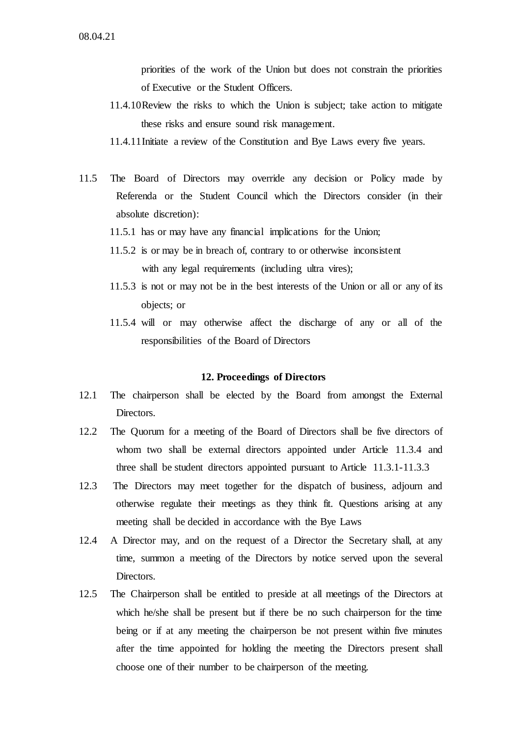priorities of the work of the Union but does not constrain the priorities of Executive or the Student Officers.

- 11.4.10Review the risks to which the Union is subject; take action to mitigate these risks and ensure sound risk management.
- 11.4.11Initiate a review of the Constitution and Bye Laws every five years.
- 11.5 The Board of Directors may override any decision or Policy made by Referenda or the Student Council which the Directors consider (in their absolute discretion):
	- 11.5.1 has or may have any financial implications for the Union;
	- 11.5.2 is or may be in breach of, contrary to or otherwise inconsistent with any legal requirements (including ultra vires);
	- 11.5.3 is not or may not be in the best interests of the Union or all or any of its objects; or
	- 11.5.4 will or may otherwise affect the discharge of any or all of the responsibilities of the Board of Directors

### **12. Proceedings of Directors**

- 12.1 The chairperson shall be elected by the Board from amongst the External Directors.
- 12.2 The Quorum for a meeting of the Board of Directors shall be five directors of whom two shall be external directors appointed under Article 11.3.4 and three shall be student directors appointed pursuant to Article 11.3.1-11.3.3
- 12.3 The Directors may meet together for the dispatch of business, adjourn and otherwise regulate their meetings as they think fit. Questions arising at any meeting shall be decided in accordance with the Bye Laws
- 12.4 A Director may, and on the request of a Director the Secretary shall, at any time, summon a meeting of the Directors by notice served upon the several Directors.
- 12.5 The Chairperson shall be entitled to preside at all meetings of the Directors at which he/she shall be present but if there be no such chairperson for the time being or if at any meeting the chairperson be not present within five minutes after the time appointed for holding the meeting the Directors present shall choose one of their number to be chairperson of the meeting.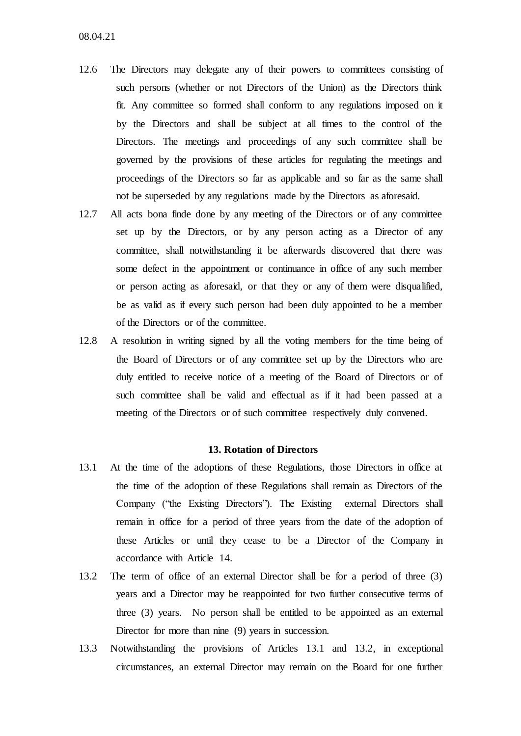- 12.6 The Directors may delegate any of their powers to committees consisting of such persons (whether or not Directors of the Union) as the Directors think fit. Any committee so formed shall conform to any regulations imposed on it by the Directors and shall be subject at all times to the control of the Directors. The meetings and proceedings of any such committee shall be governed by the provisions of these articles for regulating the meetings and proceedings of the Directors so far as applicable and so far as the same shall not be superseded by any regulations made by the Directors as aforesaid.
- 12.7 All acts bona finde done by any meeting of the Directors or of any committee set up by the Directors, or by any person acting as a Director of any committee, shall notwithstanding it be afterwards discovered that there was some defect in the appointment or continuance in office of any such member or person acting as aforesaid, or that they or any of them were disqualified, be as valid as if every such person had been duly appointed to be a member of the Directors or of the committee.
- 12.8 A resolution in writing signed by all the voting members for the time being of the Board of Directors or of any committee set up by the Directors who are duly entitled to receive notice of a meeting of the Board of Directors or of such committee shall be valid and effectual as if it had been passed at a meeting of the Directors or of such committee respectively duly convened.

### **13. Rotation of Directors**

- 13.1 At the time of the adoptions of these Regulations, those Directors in office at the time of the adoption of these Regulations shall remain as Directors of the Company ("the Existing Directors"). The Existing external Directors shall remain in office for a period of three years from the date of the adoption of these Articles or until they cease to be a Director of the Company in accordance with Article 14.
- 13.2 The term of office of an external Director shall be for a period of three (3) years and a Director may be reappointed for two further consecutive terms of three (3) years. No person shall be entitled to be appointed as an external Director for more than nine (9) years in succession.
- 13.3 Notwithstanding the provisions of Articles 13.1 and 13.2, in exceptional circumstances, an external Director may remain on the Board for one further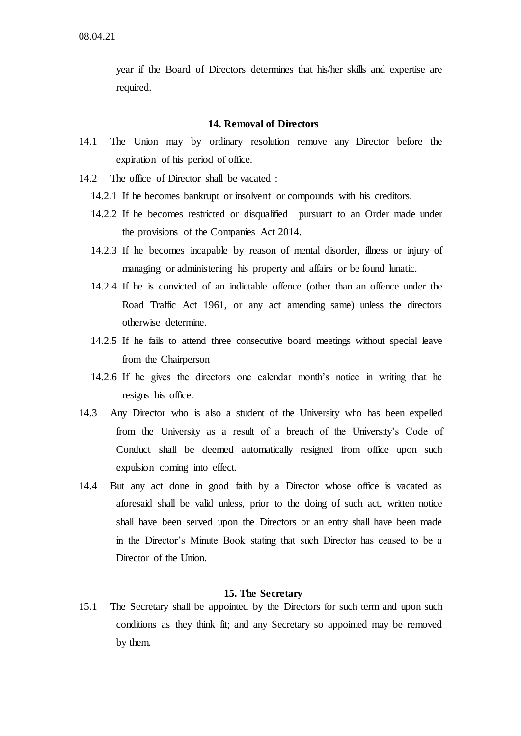year if the Board of Directors determines that his/her skills and expertise are required.

# **14. Removal of Directors**

- 14.1 The Union may by ordinary resolution remove any Director before the expiration of his period of office.
- 14.2 The office of Director shall be vacated :
	- 14.2.1 If he becomes bankrupt or insolvent or compounds with his creditors.
	- 14.2.2 If he becomes restricted or disqualified pursuant to an Order made under the provisions of the Companies Act 2014.
	- 14.2.3 If he becomes incapable by reason of mental disorder, illness or injury of managing or administering his property and affairs or be found lunatic.
	- 14.2.4 If he is convicted of an indictable offence (other than an offence under the Road Traffic Act 1961, or any act amending same) unless the directors otherwise determine.
	- 14.2.5 If he fails to attend three consecutive board meetings without special leave from the Chairperson
	- 14.2.6 If he gives the directors one calendar month's notice in writing that he resigns his office.
- 14.3 Any Director who is also a student of the University who has been expelled from the University as a result of a breach of the University's Code of Conduct shall be deemed automatically resigned from office upon such expulsion coming into effect.
- 14.4 But any act done in good faith by a Director whose office is vacated as aforesaid shall be valid unless, prior to the doing of such act, written notice shall have been served upon the Directors or an entry shall have been made in the Director's Minute Book stating that such Director has ceased to be a Director of the Union.

## **15. The Secretary**

15.1 The Secretary shall be appointed by the Directors for such term and upon such conditions as they think fit; and any Secretary so appointed may be removed by them.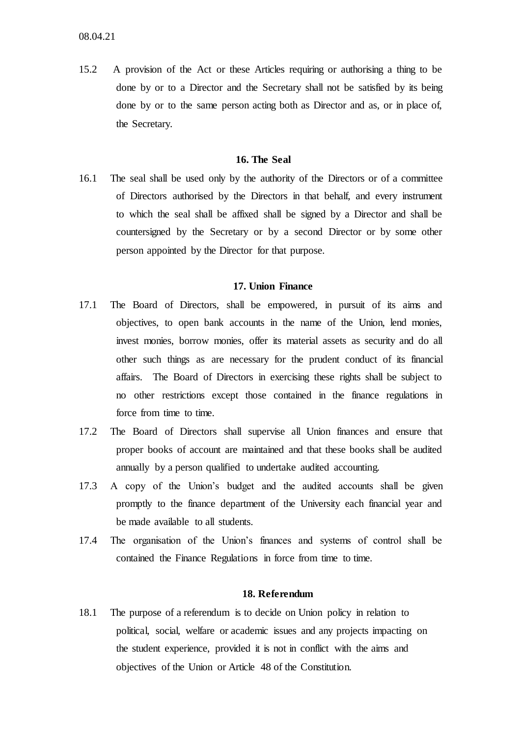15.2 A provision of the Act or these Articles requiring or authorising a thing to be done by or to a Director and the Secretary shall not be satisfied by its being done by or to the same person acting both as Director and as, or in place of, the Secretary.

### **16. The Seal**

16.1 The seal shall be used only by the authority of the Directors or of a committee of Directors authorised by the Directors in that behalf, and every instrument to which the seal shall be affixed shall be signed by a Director and shall be countersigned by the Secretary or by a second Director or by some other person appointed by the Director for that purpose.

# **17. Union Finance**

- 17.1 The Board of Directors, shall be empowered, in pursuit of its aims and objectives, to open bank accounts in the name of the Union, lend monies, invest monies, borrow monies, offer its material assets as security and do all other such things as are necessary for the prudent conduct of its financial affairs. The Board of Directors in exercising these rights shall be subject to no other restrictions except those contained in the finance regulations in force from time to time.
- 17.2 The Board of Directors shall supervise all Union finances and ensure that proper books of account are maintained and that these books shall be audited annually by a person qualified to undertake audited accounting.
- 17.3 A copy of the Union's budget and the audited accounts shall be given promptly to the finance department of the University each financial year and be made available to all students.
- 17.4 The organisation of the Union's finances and systems of control shall be contained the Finance Regulations in force from time to time.

### **18. Referendum**

18.1 The purpose of a referendum is to decide on Union policy in relation to political, social, welfare or academic issues and any projects impacting on the student experience, provided it is not in conflict with the aims and objectives of the Union or Article 48 of the Constitution.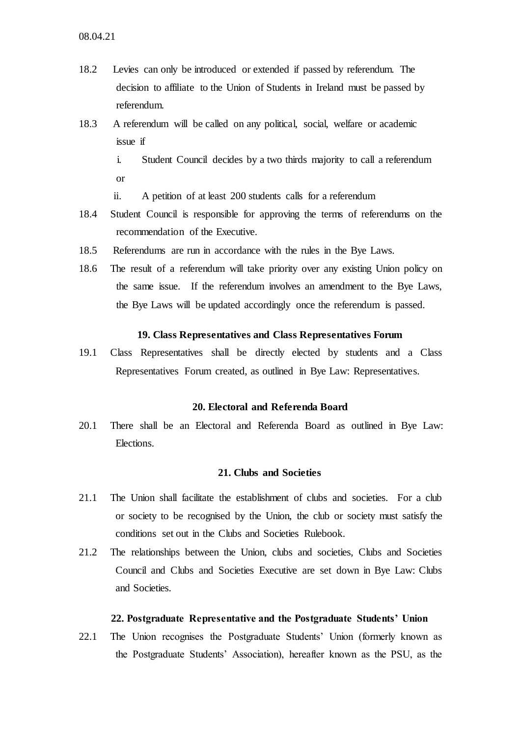- 18.2 Levies can only be introduced or extended if passed by referendum. The decision to affiliate to the Union of Students in Ireland must be passed by referendum.
- 18.3 A referendum will be called on any political, social, welfare or academic issue if
	- i. Student Council decides by a two thirds majority to call a referendum or
	- ii. A petition of at least 200 students calls for a referendum
- 18.4 Student Council is responsible for approving the terms of referendums on the recommendation of the Executive.
- 18.5 Referendums are run in accordance with the rules in the Bye Laws.
- 18.6 The result of a referendum will take priority over any existing Union policy on the same issue. If the referendum involves an amendment to the Bye Laws, the Bye Laws will be updated accordingly once the referendum is passed.

### **19. Class Representatives and Class Representatives Forum**

19.1 Class Representatives shall be directly elected by students and a Class Representatives Forum created, as outlined in Bye Law: Representatives.

# **20. Electoral and Referenda Board**

20.1 There shall be an Electoral and Referenda Board as outlined in Bye Law: Elections.

# **21. Clubs and Societies**

- 21.1 The Union shall facilitate the establishment of clubs and societies. For a club or society to be recognised by the Union, the club or society must satisfy the conditions set out in the Clubs and Societies Rulebook.
- 21.2 The relationships between the Union, clubs and societies, Clubs and Societies Council and Clubs and Societies Executive are set down in Bye Law: Clubs and Societies.

#### **22. Postgraduate Representative and the Postgraduate Students' Union**

22.1 The Union recognises the Postgraduate Students' Union (formerly known as the Postgraduate Students' Association), hereafter known as the PSU, as the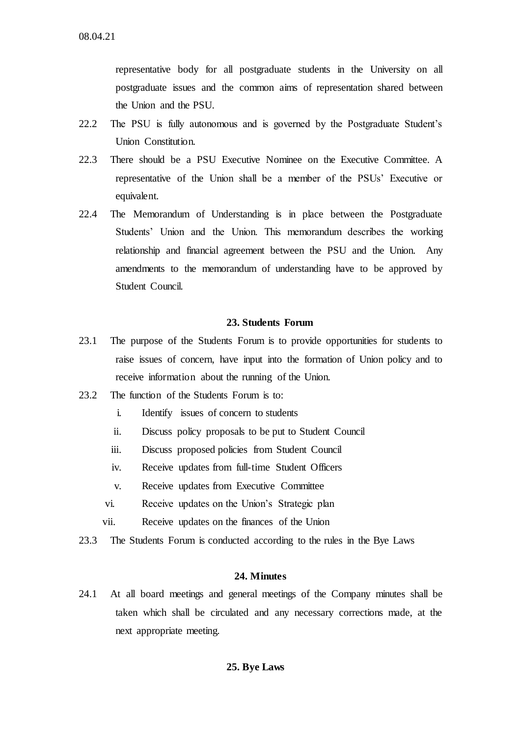representative body for all postgraduate students in the University on all postgraduate issues and the common aims of representation shared between the Union and the PSU.

- 22.2 The PSU is fully autonomous and is governed by the Postgraduate Student's Union Constitution.
- 22.3 There should be a PSU Executive Nominee on the Executive Committee. A representative of the Union shall be a member of the PSUs' Executive or equivalent.
- 22.4 The Memorandum of Understanding is in place between the Postgraduate Students' Union and the Union. This memorandum describes the working relationship and financial agreement between the PSU and the Union. Any amendments to the memorandum of understanding have to be approved by Student Council.

# **23. Students Forum**

- 23.1 The purpose of the Students Forum is to provide opportunities for students to raise issues of concern, have input into the formation of Union policy and to receive information about the running of the Union.
- 23.2 The function of the Students Forum is to:
	- i. Identify issues of concern to students
	- ii. Discuss policy proposals to be put to Student Council
	- iii. Discuss proposed policies from Student Council
	- iv. Receive updates from full-time Student Officers
	- v. Receive updates from Executive Committee
	- vi. Receive updates on the Union's Strategic plan
	- vii. Receive updates on the finances of the Union
- 23.3 The Students Forum is conducted according to the rules in the Bye Laws

### **24. Minutes**

24.1 At all board meetings and general meetings of the Company minutes shall be taken which shall be circulated and any necessary corrections made, at the next appropriate meeting.

# **25. Bye Laws**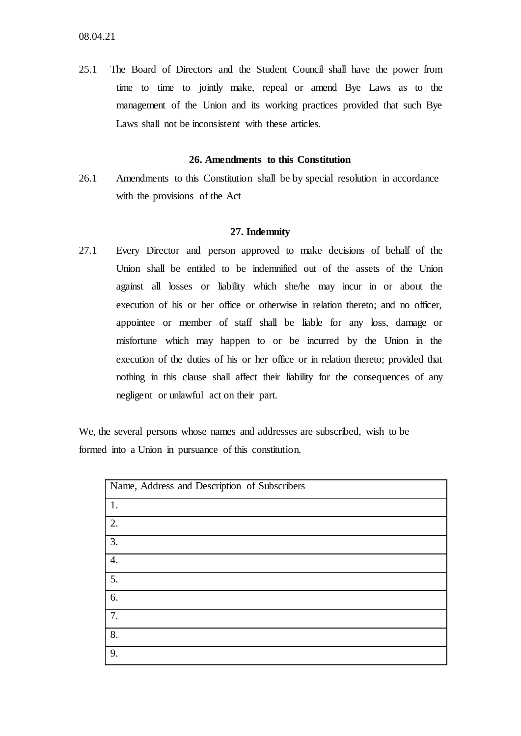25.1 The Board of Directors and the Student Council shall have the power from time to time to jointly make, repeal or amend Bye Laws as to the management of the Union and its working practices provided that such Bye Laws shall not be inconsistent with these articles.

### **26. Amendments to this Constitution**

26.1 Amendments to this Constitution shall be by special resolution in accordance with the provisions of the Act

### **27. Indemnity**

27.1 Every Director and person approved to make decisions of behalf of the Union shall be entitled to be indemnified out of the assets of the Union against all losses or liability which she/he may incur in or about the execution of his or her office or otherwise in relation thereto; and no officer, appointee or member of staff shall be liable for any loss, damage or misfortune which may happen to or be incurred by the Union in the execution of the duties of his or her office or in relation thereto; provided that nothing in this clause shall affect their liability for the consequences of any negligent or unlawful act on their part.

We, the several persons whose names and addresses are subscribed, wish to be formed into a Union in pursuance of this constitution.

| Name, Address and Description of Subscribers |  |  |  |  |  |
|----------------------------------------------|--|--|--|--|--|
| 1.                                           |  |  |  |  |  |
| 2.                                           |  |  |  |  |  |
| 3.                                           |  |  |  |  |  |
| $\mathbf{4}$ .                               |  |  |  |  |  |
| 5.                                           |  |  |  |  |  |
| 6.                                           |  |  |  |  |  |
| 7.                                           |  |  |  |  |  |
| 8.                                           |  |  |  |  |  |
| 9.                                           |  |  |  |  |  |